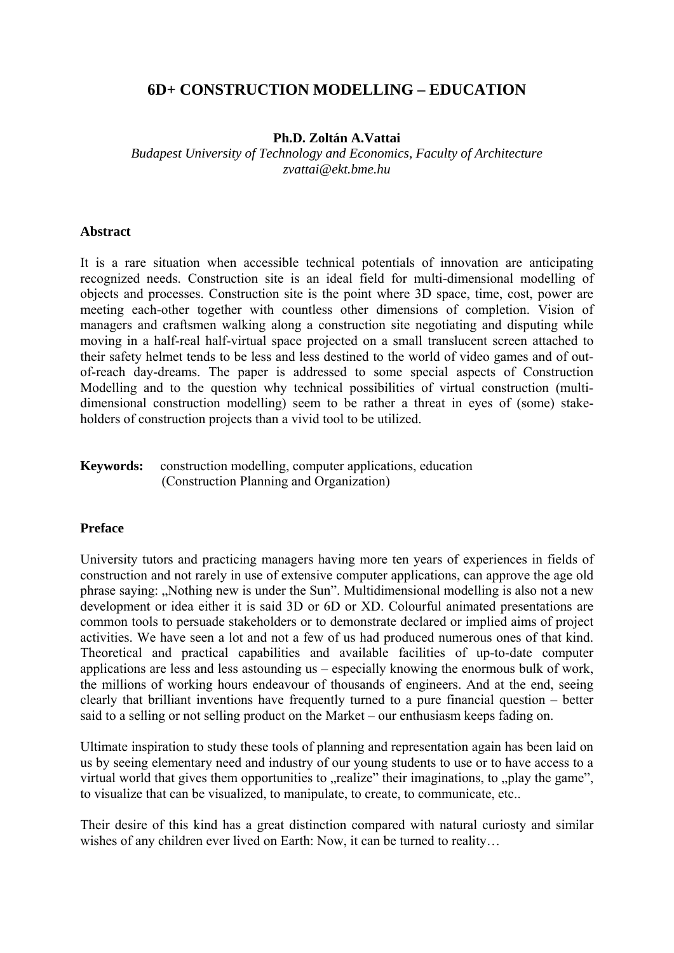# **6D+ CONSTRUCTION MODELLING – EDUCATION**

#### **Ph.D. Zoltán A.Vattai**

*Budapest University of Technology and Economics, Faculty of Architecture zvattai@ekt.bme.hu* 

#### **Abstract**

It is a rare situation when accessible technical potentials of innovation are anticipating recognized needs. Construction site is an ideal field for multi-dimensional modelling of objects and processes. Construction site is the point where 3D space, time, cost, power are meeting each-other together with countless other dimensions of completion. Vision of managers and craftsmen walking along a construction site negotiating and disputing while moving in a half-real half-virtual space projected on a small translucent screen attached to their safety helmet tends to be less and less destined to the world of video games and of outof-reach day-dreams. The paper is addressed to some special aspects of Construction Modelling and to the question why technical possibilities of virtual construction (multidimensional construction modelling) seem to be rather a threat in eyes of (some) stakeholders of construction projects than a vivid tool to be utilized.

#### **Keywords:** construction modelling, computer applications, education (Construction Planning and Organization)

#### **Preface**

University tutors and practicing managers having more ten years of experiences in fields of construction and not rarely in use of extensive computer applications, can approve the age old phrase saying: "Nothing new is under the Sun". Multidimensional modelling is also not a new development or idea either it is said 3D or 6D or XD. Colourful animated presentations are common tools to persuade stakeholders or to demonstrate declared or implied aims of project activities. We have seen a lot and not a few of us had produced numerous ones of that kind. Theoretical and practical capabilities and available facilities of up-to-date computer applications are less and less astounding us – especially knowing the enormous bulk of work, the millions of working hours endeavour of thousands of engineers. And at the end, seeing clearly that brilliant inventions have frequently turned to a pure financial question – better said to a selling or not selling product on the Market – our enthusiasm keeps fading on.

Ultimate inspiration to study these tools of planning and representation again has been laid on us by seeing elementary need and industry of our young students to use or to have access to a virtual world that gives them opportunities to  $\Delta$  realize" their imaginations, to  $\Delta$  play the game", to visualize that can be visualized, to manipulate, to create, to communicate, etc..

Their desire of this kind has a great distinction compared with natural curiosty and similar wishes of any children ever lived on Earth: Now, it can be turned to reality...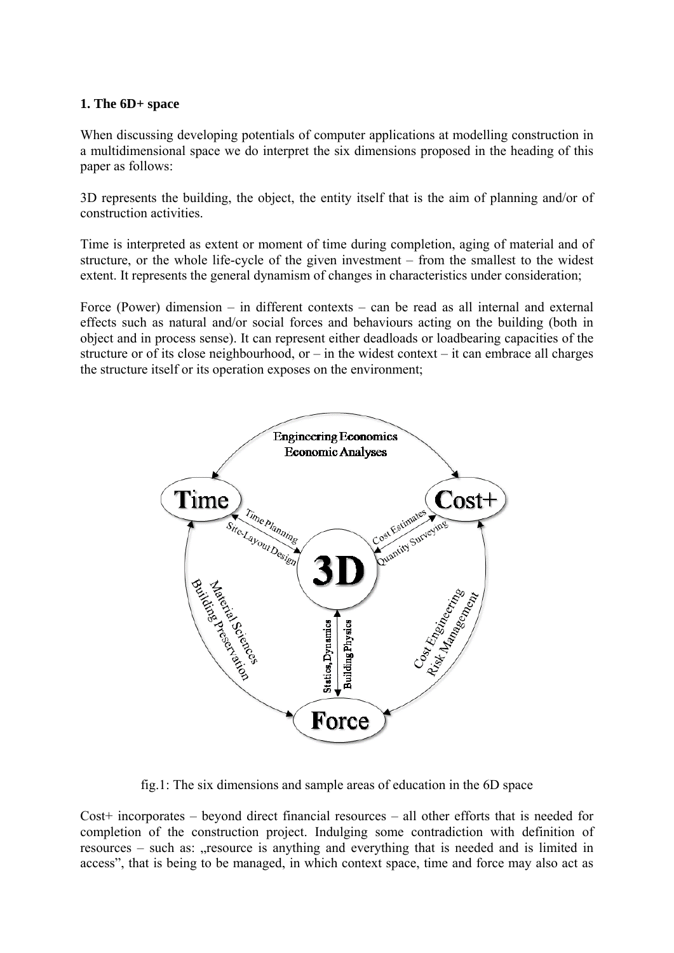#### **1. The 6D+ space**

When discussing developing potentials of computer applications at modelling construction in a multidimensional space we do interpret the six dimensions proposed in the heading of this paper as follows:

3D represents the building, the object, the entity itself that is the aim of planning and/or of construction activities.

Time is interpreted as extent or moment of time during completion, aging of material and of structure, or the whole life-cycle of the given investment – from the smallest to the widest extent. It represents the general dynamism of changes in characteristics under consideration;

Force (Power) dimension – in different contexts – can be read as all internal and external effects such as natural and/or social forces and behaviours acting on the building (both in object and in process sense). It can represent either deadloads or loadbearing capacities of the structure or of its close neighbourhood, or – in the widest context – it can embrace all charges the structure itself or its operation exposes on the environment;



fig.1: The six dimensions and sample areas of education in the 6D space

Cost+ incorporates – beyond direct financial resources – all other efforts that is needed for completion of the construction project. Indulging some contradiction with definition of resources – such as: resource is anything and everything that is needed and is limited in access", that is being to be managed, in which context space, time and force may also act as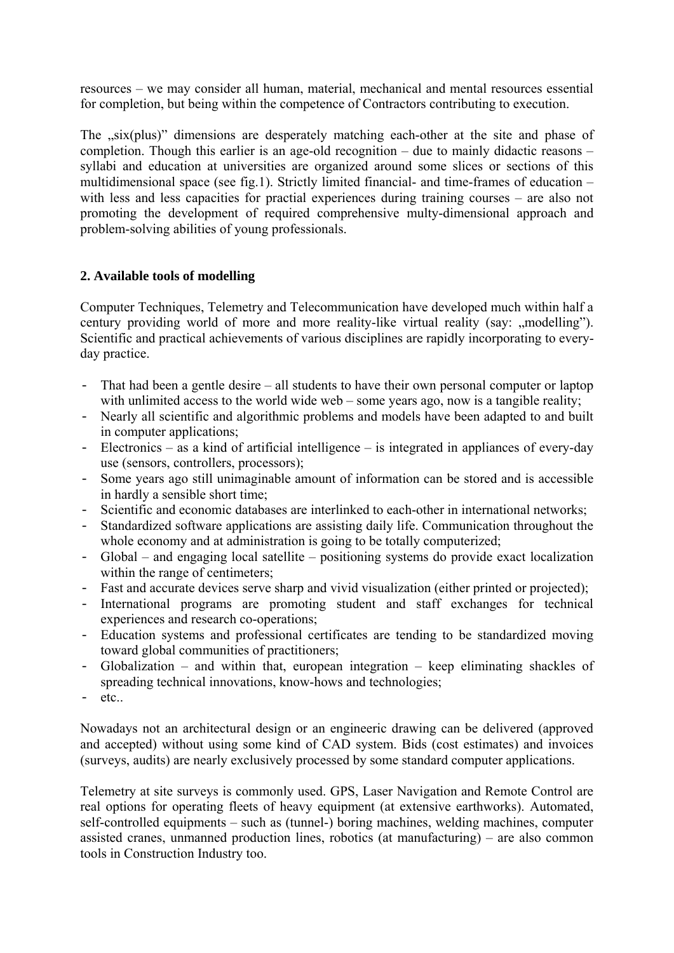resources – we may consider all human, material, mechanical and mental resources essential for completion, but being within the competence of Contractors contributing to execution.

The "six(plus)" dimensions are desperately matching each-other at the site and phase of completion. Though this earlier is an age-old recognition – due to mainly didactic reasons – syllabi and education at universities are organized around some slices or sections of this multidimensional space (see fig.1). Strictly limited financial- and time-frames of education – with less and less capacities for practial experiences during training courses – are also not promoting the development of required comprehensive multy-dimensional approach and problem-solving abilities of young professionals.

## **2. Available tools of modelling**

Computer Techniques, Telemetry and Telecommunication have developed much within half a century providing world of more and more reality-like virtual reality (say: "modelling"). Scientific and practical achievements of various disciplines are rapidly incorporating to everyday practice.

- That had been a gentle desire all students to have their own personal computer or laptop with unlimited access to the world wide web – some years ago, now is a tangible reality;
- Nearly all scientific and algorithmic problems and models have been adapted to and built in computer applications;
- Electronics as a kind of artificial intelligence is integrated in appliances of every-day use (sensors, controllers, processors);
- Some years ago still unimaginable amount of information can be stored and is accessible in hardly a sensible short time;
- Scientific and economic databases are interlinked to each-other in international networks;
- Standardized software applications are assisting daily life. Communication throughout the whole economy and at administration is going to be totally computerized;
- Global and engaging local satellite positioning systems do provide exact localization within the range of centimeters;
- Fast and accurate devices serve sharp and vivid visualization (either printed or projected);
- International programs are promoting student and staff exchanges for technical experiences and research co-operations;
- Education systems and professional certificates are tending to be standardized moving toward global communities of practitioners;
- Globalization and within that, european integration keep eliminating shackles of spreading technical innovations, know-hows and technologies;
- $-$  etc..

Nowadays not an architectural design or an engineeric drawing can be delivered (approved and accepted) without using some kind of CAD system. Bids (cost estimates) and invoices (surveys, audits) are nearly exclusively processed by some standard computer applications.

Telemetry at site surveys is commonly used. GPS, Laser Navigation and Remote Control are real options for operating fleets of heavy equipment (at extensive earthworks). Automated, self-controlled equipments – such as (tunnel-) boring machines, welding machines, computer assisted cranes, unmanned production lines, robotics (at manufacturing) – are also common tools in Construction Industry too.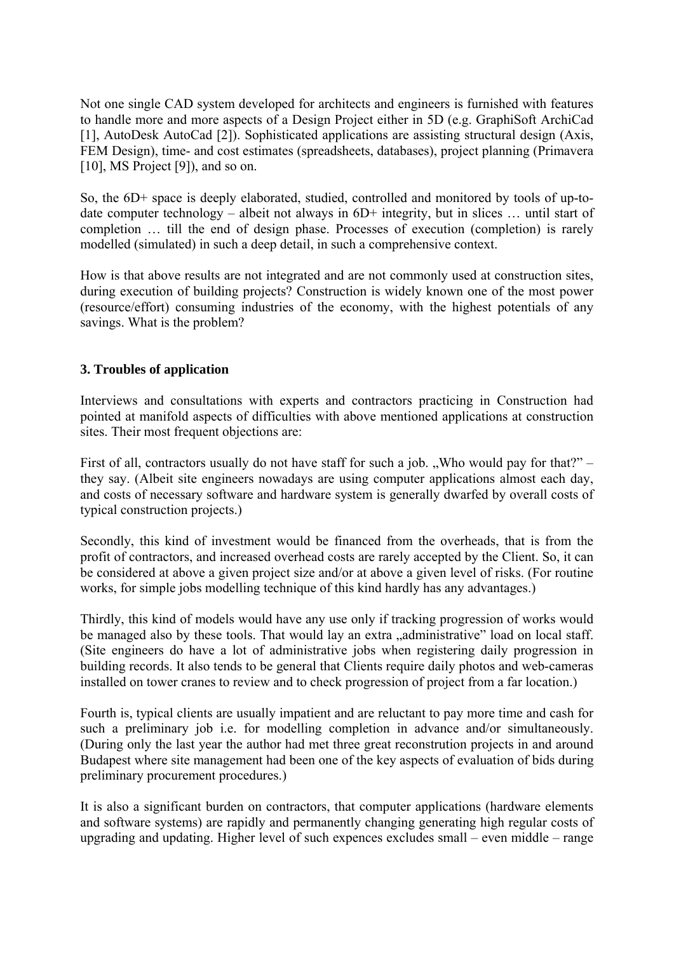Not one single CAD system developed for architects and engineers is furnished with features to handle more and more aspects of a Design Project either in 5D (e.g. GraphiSoft ArchiCad [1], AutoDesk AutoCad [2]). Sophisticated applications are assisting structural design (Axis, FEM Design), time- and cost estimates (spreadsheets, databases), project planning (Primavera [10], MS Project [9]), and so on.

So, the 6D+ space is deeply elaborated, studied, controlled and monitored by tools of up-todate computer technology – albeit not always in 6D+ integrity, but in slices … until start of completion … till the end of design phase. Processes of execution (completion) is rarely modelled (simulated) in such a deep detail, in such a comprehensive context.

How is that above results are not integrated and are not commonly used at construction sites, during execution of building projects? Construction is widely known one of the most power (resource/effort) consuming industries of the economy, with the highest potentials of any savings. What is the problem?

### **3. Troubles of application**

Interviews and consultations with experts and contractors practicing in Construction had pointed at manifold aspects of difficulties with above mentioned applications at construction sites. Their most frequent objections are:

First of all, contractors usually do not have staff for such a job. "Who would pay for that?" – they say. (Albeit site engineers nowadays are using computer applications almost each day, and costs of necessary software and hardware system is generally dwarfed by overall costs of typical construction projects.)

Secondly, this kind of investment would be financed from the overheads, that is from the profit of contractors, and increased overhead costs are rarely accepted by the Client. So, it can be considered at above a given project size and/or at above a given level of risks. (For routine works, for simple jobs modelling technique of this kind hardly has any advantages.)

Thirdly, this kind of models would have any use only if tracking progression of works would be managed also by these tools. That would lay an extra "administrative" load on local staff. (Site engineers do have a lot of administrative jobs when registering daily progression in building records. It also tends to be general that Clients require daily photos and web-cameras installed on tower cranes to review and to check progression of project from a far location.)

Fourth is, typical clients are usually impatient and are reluctant to pay more time and cash for such a preliminary job i.e. for modelling completion in advance and/or simultaneously. (During only the last year the author had met three great reconstrution projects in and around Budapest where site management had been one of the key aspects of evaluation of bids during preliminary procurement procedures.)

It is also a significant burden on contractors, that computer applications (hardware elements and software systems) are rapidly and permanently changing generating high regular costs of upgrading and updating. Higher level of such expences excludes small – even middle – range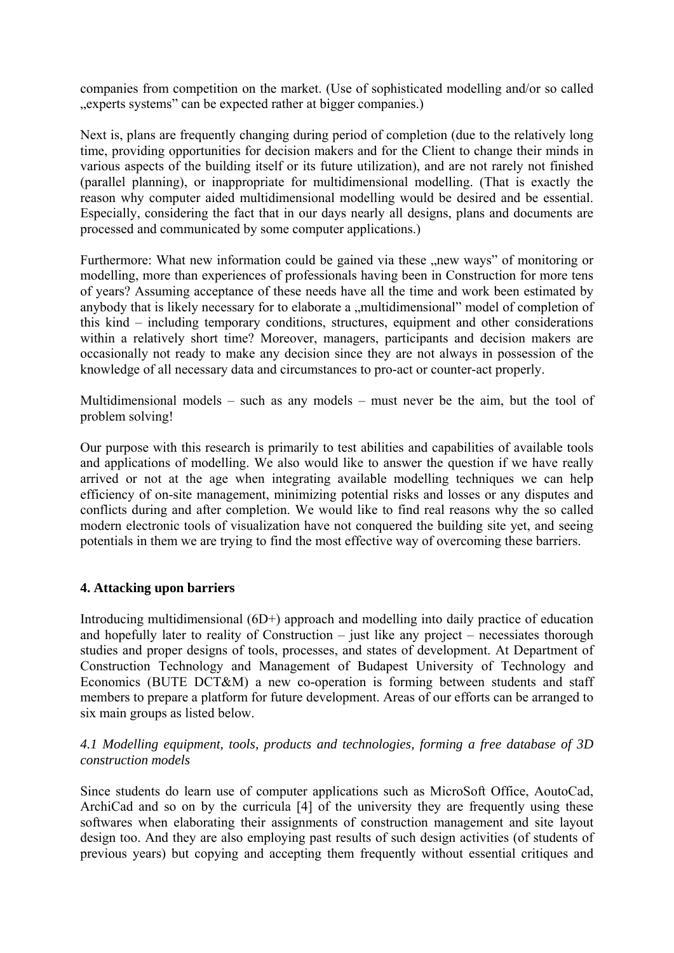companies from competition on the market. (Use of sophisticated modelling and/or so called ", experts systems" can be expected rather at bigger companies.)

Next is, plans are frequently changing during period of completion (due to the relatively long time, providing opportunities for decision makers and for the Client to change their minds in various aspects of the building itself or its future utilization), and are not rarely not finished (parallel planning), or inappropriate for multidimensional modelling. (That is exactly the reason why computer aided multidimensional modelling would be desired and be essential. Especially, considering the fact that in our days nearly all designs, plans and documents are processed and communicated by some computer applications.)

Furthermore: What new information could be gained via these "new ways" of monitoring or modelling, more than experiences of professionals having been in Construction for more tens of years? Assuming acceptance of these needs have all the time and work been estimated by anybody that is likely necessary for to elaborate a "multidimensional" model of completion of this kind – including temporary conditions, structures, equipment and other considerations within a relatively short time? Moreover, managers, participants and decision makers are occasionally not ready to make any decision since they are not always in possession of the knowledge of all necessary data and circumstances to pro-act or counter-act properly.

Multidimensional models – such as any models – must never be the aim, but the tool of problem solving!

Our purpose with this research is primarily to test abilities and capabilities of available tools and applications of modelling. We also would like to answer the question if we have really arrived or not at the age when integrating available modelling techniques we can help efficiency of on-site management, minimizing potential risks and losses or any disputes and conflicts during and after completion. We would like to find real reasons why the so called modern electronic tools of visualization have not conquered the building site yet, and seeing potentials in them we are trying to find the most effective way of overcoming these barriers.

### **4. Attacking upon barriers**

Introducing multidimensional (6D+) approach and modelling into daily practice of education and hopefully later to reality of Construction – just like any project – necessiates thorough studies and proper designs of tools, processes, and states of development. At Department of Construction Technology and Management of Budapest University of Technology and Economics (BUTE DCT&M) a new co-operation is forming between students and staff members to prepare a platform for future development. Areas of our efforts can be arranged to six main groups as listed below.

#### *4.1 Modelling equipment, tools, products and technologies, forming a free database of 3D construction models*

Since students do learn use of computer applications such as MicroSoft Office, AoutoCad, ArchiCad and so on by the curricula [4] of the university they are frequently using these softwares when elaborating their assignments of construction management and site layout design too. And they are also employing past results of such design activities (of students of previous years) but copying and accepting them frequently without essential critiques and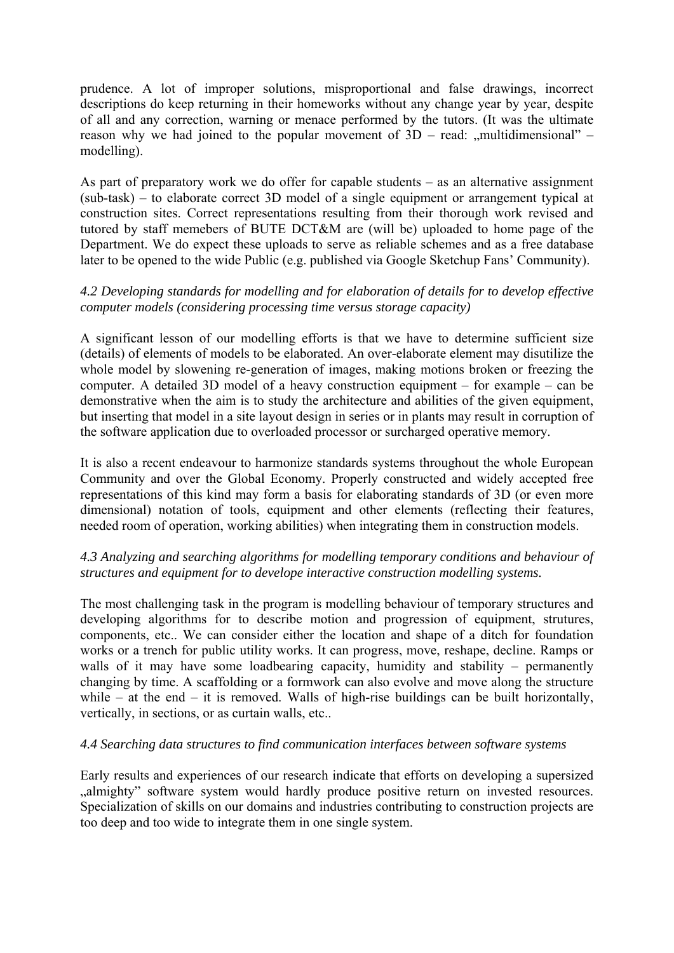prudence. A lot of improper solutions, misproportional and false drawings, incorrect descriptions do keep returning in their homeworks without any change year by year, despite of all and any correction, warning or menace performed by the tutors. (It was the ultimate reason why we had joined to the popular movement of  $3D$  – read:  $\ldots$  multidimensional" – modelling).

As part of preparatory work we do offer for capable students – as an alternative assignment (sub-task) – to elaborate correct 3D model of a single equipment or arrangement typical at construction sites. Correct representations resulting from their thorough work revised and tutored by staff memebers of BUTE DCT&M are (will be) uploaded to home page of the Department. We do expect these uploads to serve as reliable schemes and as a free database later to be opened to the wide Public (e.g. published via Google Sketchup Fans' Community).

### *4.2 Developing standards for modelling and for elaboration of details for to develop effective computer models (considering processing time versus storage capacity)*

A significant lesson of our modelling efforts is that we have to determine sufficient size (details) of elements of models to be elaborated. An over-elaborate element may disutilize the whole model by slowening re-generation of images, making motions broken or freezing the computer. A detailed 3D model of a heavy construction equipment – for example – can be demonstrative when the aim is to study the architecture and abilities of the given equipment, but inserting that model in a site layout design in series or in plants may result in corruption of the software application due to overloaded processor or surcharged operative memory.

It is also a recent endeavour to harmonize standards systems throughout the whole European Community and over the Global Economy. Properly constructed and widely accepted free representations of this kind may form a basis for elaborating standards of 3D (or even more dimensional) notation of tools, equipment and other elements (reflecting their features, needed room of operation, working abilities) when integrating them in construction models.

### *4.3 Analyzing and searching algorithms for modelling temporary conditions and behaviour of structures and equipment for to develope interactive construction modelling systems.*

The most challenging task in the program is modelling behaviour of temporary structures and developing algorithms for to describe motion and progression of equipment, strutures, components, etc.. We can consider either the location and shape of a ditch for foundation works or a trench for public utility works. It can progress, move, reshape, decline. Ramps or walls of it may have some loadbearing capacity, humidity and stability – permanently changing by time. A scaffolding or a formwork can also evolve and move along the structure while – at the end – it is removed. Walls of high-rise buildings can be built horizontally, vertically, in sections, or as curtain walls, etc..

#### *4.4 Searching data structures to find communication interfaces between software systems*

Early results and experiences of our research indicate that efforts on developing a supersized almighty" software system would hardly produce positive return on invested resources. Specialization of skills on our domains and industries contributing to construction projects are too deep and too wide to integrate them in one single system.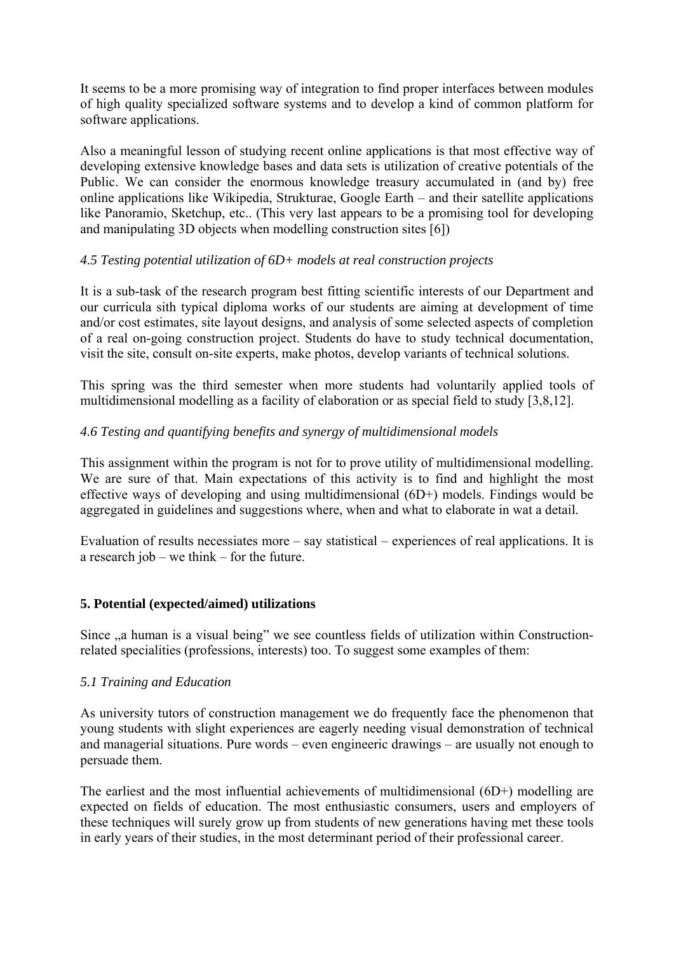It seems to be a more promising way of integration to find proper interfaces between modules of high quality specialized software systems and to develop a kind of common platform for software applications.

Also a meaningful lesson of studying recent online applications is that most effective way of developing extensive knowledge bases and data sets is utilization of creative potentials of the Public. We can consider the enormous knowledge treasury accumulated in (and by) free online applications like Wikipedia, Strukturae, Google Earth – and their satellite applications like Panoramio, Sketchup, etc.. (This very last appears to be a promising tool for developing and manipulating 3D objects when modelling construction sites [6])

### *4.5 Testing potential utilization of 6D+ models at real construction projects*

It is a sub-task of the research program best fitting scientific interests of our Department and our curricula sith typical diploma works of our students are aiming at development of time and/or cost estimates, site layout designs, and analysis of some selected aspects of completion of a real on-going construction project. Students do have to study technical documentation, visit the site, consult on-site experts, make photos, develop variants of technical solutions.

This spring was the third semester when more students had voluntarily applied tools of multidimensional modelling as a facility of elaboration or as special field to study [3,8,12].

### *4.6 Testing and quantifying benefits and synergy of multidimensional models*

This assignment within the program is not for to prove utility of multidimensional modelling. We are sure of that. Main expectations of this activity is to find and highlight the most effective ways of developing and using multidimensional (6D+) models. Findings would be aggregated in guidelines and suggestions where, when and what to elaborate in wat a detail.

Evaluation of results necessiates more – say statistical – experiences of real applications. It is a research job – we think – for the future.

### **5. Potential (expected/aimed) utilizations**

Since  $\alpha$ , a human is a visual being" we see countless fields of utilization within Constructionrelated specialities (professions, interests) too. To suggest some examples of them:

### *5.1 Training and Education*

As university tutors of construction management we do frequently face the phenomenon that young students with slight experiences are eagerly needing visual demonstration of technical and managerial situations. Pure words – even engineeric drawings – are usually not enough to persuade them.

The earliest and the most influential achievements of multidimensional (6D+) modelling are expected on fields of education. The most enthusiastic consumers, users and employers of these techniques will surely grow up from students of new generations having met these tools in early years of their studies, in the most determinant period of their professional career.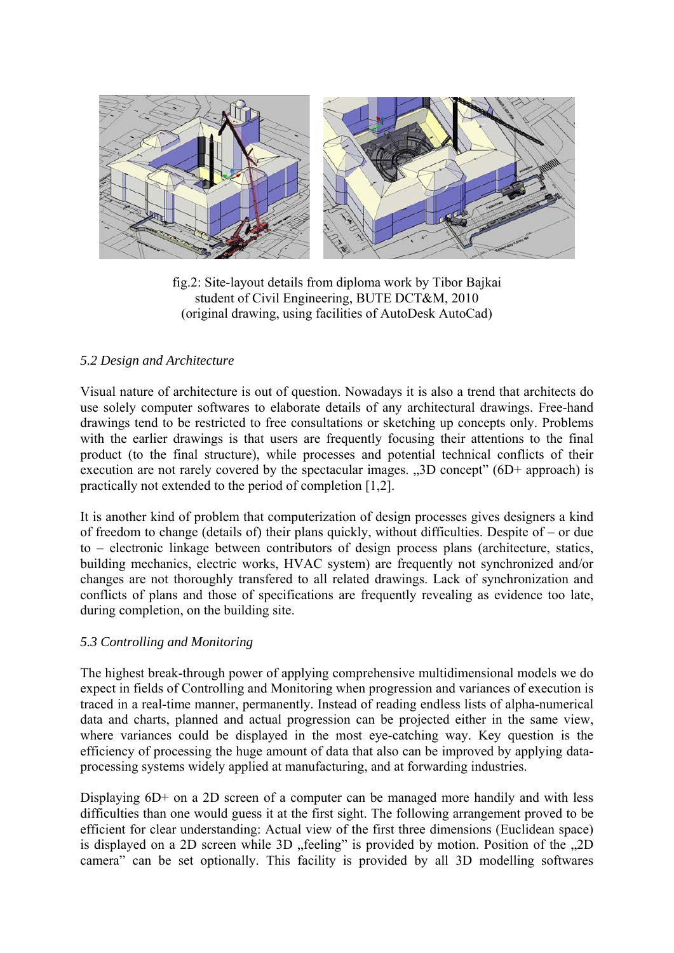

fig.2: Site-layout details from diploma work by Tibor Bajkai student of Civil Engineering, BUTE DCT&M, 2010 (original drawing, using facilities of AutoDesk AutoCad)

### *5.2 Design and Architecture*

Visual nature of architecture is out of question. Nowadays it is also a trend that architects do use solely computer softwares to elaborate details of any architectural drawings. Free-hand drawings tend to be restricted to free consultations or sketching up concepts only. Problems with the earlier drawings is that users are frequently focusing their attentions to the final product (to the final structure), while processes and potential technical conflicts of their execution are not rarely covered by the spectacular images.  $\mathcal{A}$ 3D concept" (6D+ approach) is practically not extended to the period of completion [1,2].

It is another kind of problem that computerization of design processes gives designers a kind of freedom to change (details of) their plans quickly, without difficulties. Despite of – or due to – electronic linkage between contributors of design process plans (architecture, statics, building mechanics, electric works, HVAC system) are frequently not synchronized and/or changes are not thoroughly transfered to all related drawings. Lack of synchronization and conflicts of plans and those of specifications are frequently revealing as evidence too late, during completion, on the building site.

### *5.3 Controlling and Monitoring*

The highest break-through power of applying comprehensive multidimensional models we do expect in fields of Controlling and Monitoring when progression and variances of execution is traced in a real-time manner, permanently. Instead of reading endless lists of alpha-numerical data and charts, planned and actual progression can be projected either in the same view, where variances could be displayed in the most eye-catching way. Key question is the efficiency of processing the huge amount of data that also can be improved by applying dataprocessing systems widely applied at manufacturing, and at forwarding industries.

Displaying  $6D+$  on a 2D screen of a computer can be managed more handily and with less difficulties than one would guess it at the first sight. The following arrangement proved to be efficient for clear understanding: Actual view of the first three dimensions (Euclidean space) is displayed on a 2D screen while 3D "feeling" is provided by motion. Position of the "2D camera" can be set optionally. This facility is provided by all 3D modelling softwares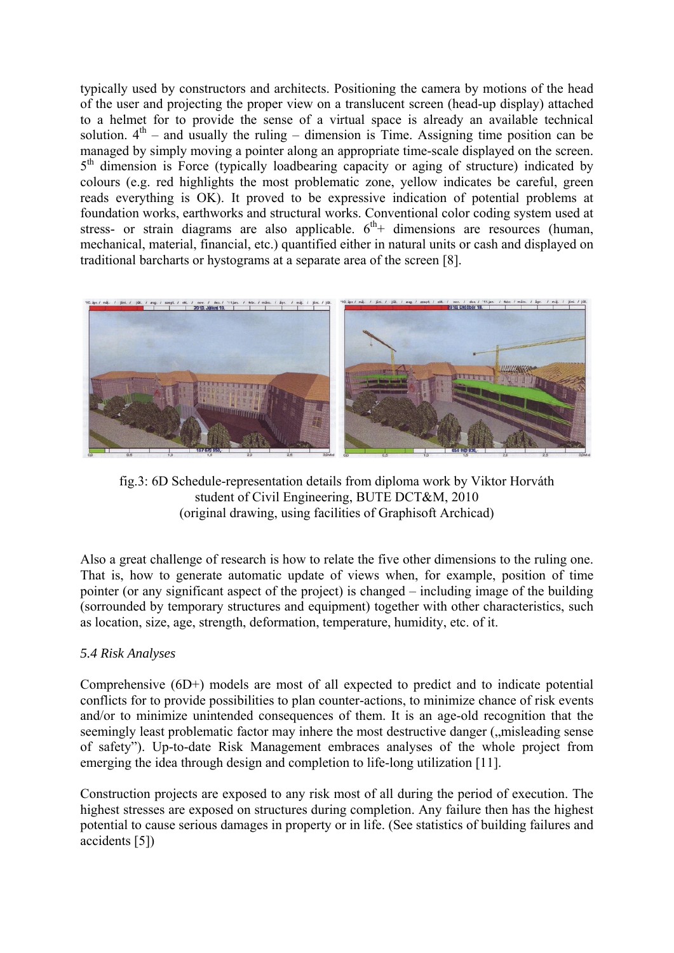typically used by constructors and architects. Positioning the camera by motions of the head of the user and projecting the proper view on a translucent screen (head-up display) attached to a helmet for to provide the sense of a virtual space is already an available technical solution.  $4<sup>th</sup>$  – and usually the ruling – dimension is Time. Assigning time position can be managed by simply moving a pointer along an appropriate time-scale displayed on the screen.  $5<sup>th</sup>$  dimension is Force (typically loadbearing capacity or aging of structure) indicated by colours (e.g. red highlights the most problematic zone, yellow indicates be careful, green reads everything is OK). It proved to be expressive indication of potential problems at foundation works, earthworks and structural works. Conventional color coding system used at stress- or strain diagrams are also applicable.  $6<sup>th</sup>$  dimensions are resources (human, mechanical, material, financial, etc.) quantified either in natural units or cash and displayed on traditional barcharts or hystograms at a separate area of the screen [8].



fig.3: 6D Schedule-representation details from diploma work by Viktor Horváth student of Civil Engineering, BUTE DCT&M, 2010 (original drawing, using facilities of Graphisoft Archicad)

Also a great challenge of research is how to relate the five other dimensions to the ruling one. That is, how to generate automatic update of views when, for example, position of time pointer (or any significant aspect of the project) is changed – including image of the building (sorrounded by temporary structures and equipment) together with other characteristics, such as location, size, age, strength, deformation, temperature, humidity, etc. of it.

### *5.4 Risk Analyses*

Comprehensive (6D+) models are most of all expected to predict and to indicate potential conflicts for to provide possibilities to plan counter-actions, to minimize chance of risk events and/or to minimize unintended consequences of them. It is an age-old recognition that the seemingly least problematic factor may inhere the most destructive danger ("misleading sense") of safety"). Up-to-date Risk Management embraces analyses of the whole project from emerging the idea through design and completion to life-long utilization [11].

Construction projects are exposed to any risk most of all during the period of execution. The highest stresses are exposed on structures during completion. Any failure then has the highest potential to cause serious damages in property or in life. (See statistics of building failures and accidents [5])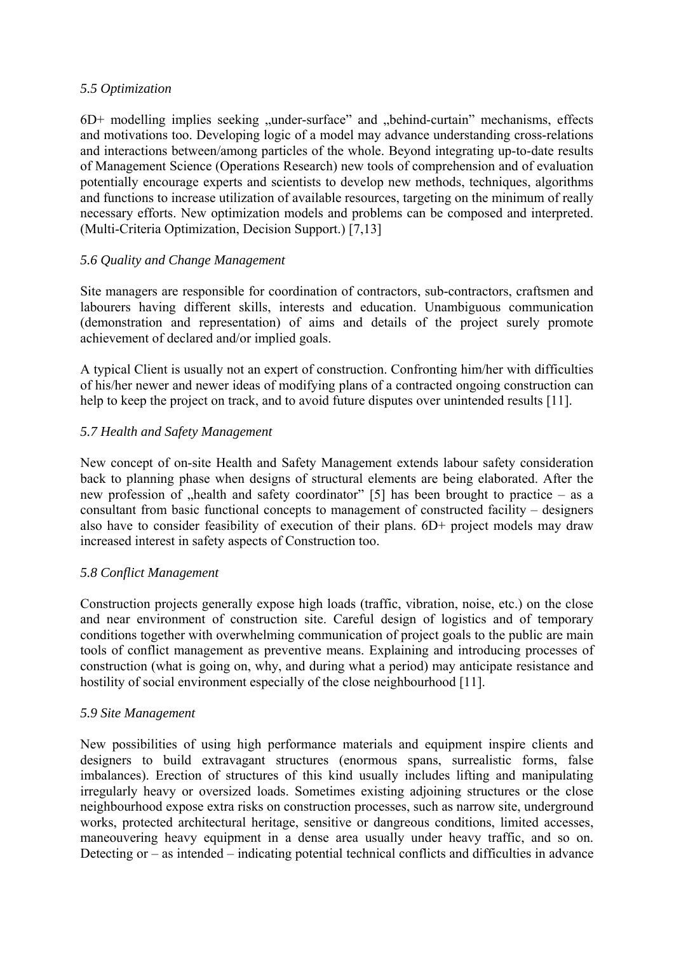#### *5.5 Optimization*

 $6D+$  modelling implies seeking  $\mu$ under-surface" and  $\mu$ behind-curtain" mechanisms, effects and motivations too. Developing logic of a model may advance understanding cross-relations and interactions between/among particles of the whole. Beyond integrating up-to-date results of Management Science (Operations Research) new tools of comprehension and of evaluation potentially encourage experts and scientists to develop new methods, techniques, algorithms and functions to increase utilization of available resources, targeting on the minimum of really necessary efforts. New optimization models and problems can be composed and interpreted. (Multi-Criteria Optimization, Decision Support.) [7,13]

### *5.6 Quality and Change Management*

Site managers are responsible for coordination of contractors, sub-contractors, craftsmen and labourers having different skills, interests and education. Unambiguous communication (demonstration and representation) of aims and details of the project surely promote achievement of declared and/or implied goals.

A typical Client is usually not an expert of construction. Confronting him/her with difficulties of his/her newer and newer ideas of modifying plans of a contracted ongoing construction can help to keep the project on track, and to avoid future disputes over unintended results [11].

## *5.7 Health and Safety Management*

New concept of on-site Health and Safety Management extends labour safety consideration back to planning phase when designs of structural elements are being elaborated. After the new profession of "health and safety coordinator" [5] has been brought to practice – as a consultant from basic functional concepts to management of constructed facility – designers also have to consider feasibility of execution of their plans. 6D+ project models may draw increased interest in safety aspects of Construction too.

### *5.8 Conflict Management*

Construction projects generally expose high loads (traffic, vibration, noise, etc.) on the close and near environment of construction site. Careful design of logistics and of temporary conditions together with overwhelming communication of project goals to the public are main tools of conflict management as preventive means. Explaining and introducing processes of construction (what is going on, why, and during what a period) may anticipate resistance and hostility of social environment especially of the close neighbourhood [11].

### *5.9 Site Management*

New possibilities of using high performance materials and equipment inspire clients and designers to build extravagant structures (enormous spans, surrealistic forms, false imbalances). Erection of structures of this kind usually includes lifting and manipulating irregularly heavy or oversized loads. Sometimes existing adjoining structures or the close neighbourhood expose extra risks on construction processes, such as narrow site, underground works, protected architectural heritage, sensitive or dangreous conditions, limited accesses, maneouvering heavy equipment in a dense area usually under heavy traffic, and so on. Detecting or – as intended – indicating potential technical conflicts and difficulties in advance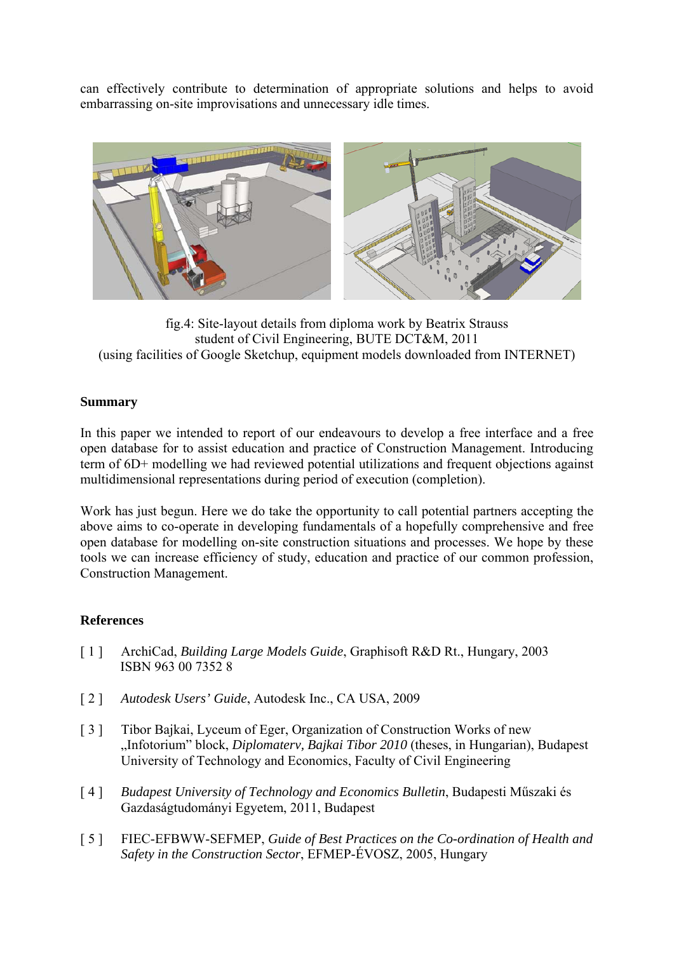can effectively contribute to determination of appropriate solutions and helps to avoid embarrassing on-site improvisations and unnecessary idle times.



fig.4: Site-layout details from diploma work by Beatrix Strauss student of Civil Engineering, BUTE DCT&M, 2011 (using facilities of Google Sketchup, equipment models downloaded from INTERNET)

### **Summary**

In this paper we intended to report of our endeavours to develop a free interface and a free open database for to assist education and practice of Construction Management. Introducing term of 6D+ modelling we had reviewed potential utilizations and frequent objections against multidimensional representations during period of execution (completion).

Work has just begun. Here we do take the opportunity to call potential partners accepting the above aims to co-operate in developing fundamentals of a hopefully comprehensive and free open database for modelling on-site construction situations and processes. We hope by these tools we can increase efficiency of study, education and practice of our common profession, Construction Management.

### **References**

- [ 1 ] ArchiCad, *Building Large Models Guide*, Graphisoft R&D Rt., Hungary, 2003 ISBN 963 00 7352 8
- [ 2 ] *Autodesk Users' Guide*, Autodesk Inc., CA USA, 2009
- [ 3 ] Tibor Bajkai, Lyceum of Eger, Organization of Construction Works of new "Infotorium" block, *Diplomaterv, Bajkai Tibor 2010* (theses, in Hungarian), Budapest University of Technology and Economics, Faculty of Civil Engineering
- [ 4 ] *Budapest University of Technology and Economics Bulletin*, Budapesti Műszaki és Gazdaságtudományi Egyetem, 2011, Budapest
- [ 5 ] FIEC-EFBWW-SEFMEP, *Guide of Best Practices on the Co-ordination of Health and Safety in the Construction Sector*, EFMEP-ÉVOSZ, 2005, Hungary